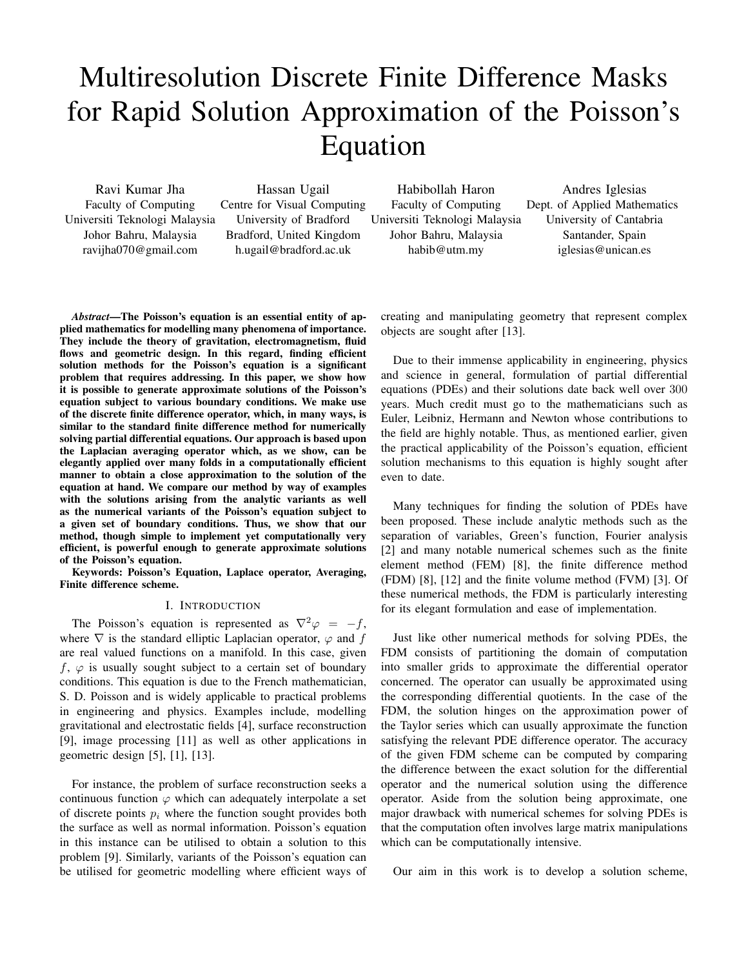# Multiresolution Discrete Finite Difference Masks for Rapid Solution Approximation of the Poisson's Equation

Ravi Kumar Jha Faculty of Computing Universiti Teknologi Malaysia Johor Bahru, Malaysia ravijha070@gmail.com

Hassan Ugail Centre for Visual Computing University of Bradford Bradford, United Kingdom h.ugail@bradford.ac.uk

Habibollah Haron Faculty of Computing Universiti Teknologi Malaysia Johor Bahru, Malaysia habib@utm.my

Andres Iglesias Dept. of Applied Mathematics University of Cantabria Santander, Spain iglesias@unican.es

*Abstract*—The Poisson's equation is an essential entity of applied mathematics for modelling many phenomena of importance. They include the theory of gravitation, electromagnetism, fluid flows and geometric design. In this regard, finding efficient solution methods for the Poisson's equation is a significant problem that requires addressing. In this paper, we show how it is possible to generate approximate solutions of the Poisson's equation subject to various boundary conditions. We make use of the discrete finite difference operator, which, in many ways, is similar to the standard finite difference method for numerically solving partial differential equations. Our approach is based upon the Laplacian averaging operator which, as we show, can be elegantly applied over many folds in a computationally efficient manner to obtain a close approximation to the solution of the equation at hand. We compare our method by way of examples with the solutions arising from the analytic variants as well as the numerical variants of the Poisson's equation subject to a given set of boundary conditions. Thus, we show that our method, though simple to implement yet computationally very efficient, is powerful enough to generate approximate solutions of the Poisson's equation.

Keywords: Poisson's Equation, Laplace operator, Averaging, Finite difference scheme.

## I. INTRODUCTION

The Poisson's equation is represented as  $\nabla^2 \varphi = -f$ , where  $\nabla$  is the standard elliptic Laplacian operator,  $\varphi$  and f are real valued functions on a manifold. In this case, given f,  $\varphi$  is usually sought subject to a certain set of boundary conditions. This equation is due to the French mathematician, S. D. Poisson and is widely applicable to practical problems in engineering and physics. Examples include, modelling gravitational and electrostatic fields [4], surface reconstruction [9], image processing [11] as well as other applications in geometric design [5], [1], [13].

For instance, the problem of surface reconstruction seeks a continuous function  $\varphi$  which can adequately interpolate a set of discrete points  $p_i$  where the function sought provides both the surface as well as normal information. Poisson's equation in this instance can be utilised to obtain a solution to this problem [9]. Similarly, variants of the Poisson's equation can be utilised for geometric modelling where efficient ways of creating and manipulating geometry that represent complex objects are sought after [13].

Due to their immense applicability in engineering, physics and science in general, formulation of partial differential equations (PDEs) and their solutions date back well over 300 years. Much credit must go to the mathematicians such as Euler, Leibniz, Hermann and Newton whose contributions to the field are highly notable. Thus, as mentioned earlier, given the practical applicability of the Poisson's equation, efficient solution mechanisms to this equation is highly sought after even to date.

Many techniques for finding the solution of PDEs have been proposed. These include analytic methods such as the separation of variables, Green's function, Fourier analysis [2] and many notable numerical schemes such as the finite element method (FEM) [8], the finite difference method (FDM) [8], [12] and the finite volume method (FVM) [3]. Of these numerical methods, the FDM is particularly interesting for its elegant formulation and ease of implementation.

Just like other numerical methods for solving PDEs, the FDM consists of partitioning the domain of computation into smaller grids to approximate the differential operator concerned. The operator can usually be approximated using the corresponding differential quotients. In the case of the FDM, the solution hinges on the approximation power of the Taylor series which can usually approximate the function satisfying the relevant PDE difference operator. The accuracy of the given FDM scheme can be computed by comparing the difference between the exact solution for the differential operator and the numerical solution using the difference operator. Aside from the solution being approximate, one major drawback with numerical schemes for solving PDEs is that the computation often involves large matrix manipulations which can be computationally intensive.

Our aim in this work is to develop a solution scheme,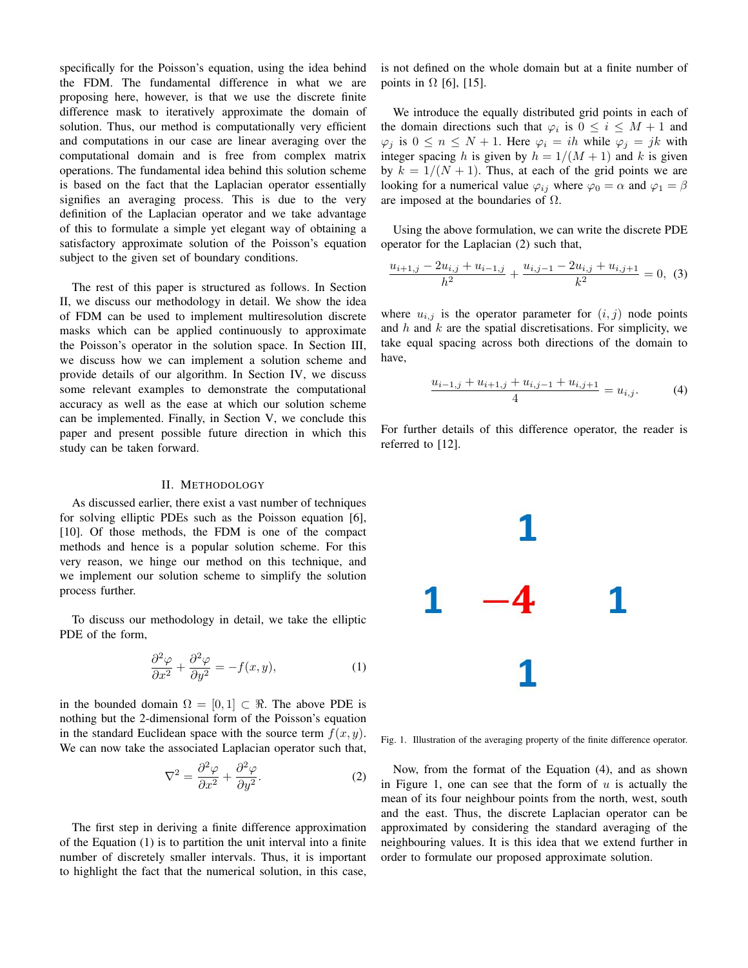specifically for the Poisson's equation, using the idea behind the FDM. The fundamental difference in what we are proposing here, however, is that we use the discrete finite difference mask to iteratively approximate the domain of solution. Thus, our method is computationally very efficient and computations in our case are linear averaging over the computational domain and is free from complex matrix operations. The fundamental idea behind this solution scheme is based on the fact that the Laplacian operator essentially signifies an averaging process. This is due to the very definition of the Laplacian operator and we take advantage of this to formulate a simple yet elegant way of obtaining a satisfactory approximate solution of the Poisson's equation subject to the given set of boundary conditions.

The rest of this paper is structured as follows. In Section II, we discuss our methodology in detail. We show the idea of FDM can be used to implement multiresolution discrete masks which can be applied continuously to approximate the Poisson's operator in the solution space. In Section III, we discuss how we can implement a solution scheme and provide details of our algorithm. In Section IV, we discuss some relevant examples to demonstrate the computational accuracy as well as the ease at which our solution scheme can be implemented. Finally, in Section V, we conclude this paper and present possible future direction in which this study can be taken forward.

## II. METHODOLOGY

As discussed earlier, there exist a vast number of techniques for solving elliptic PDEs such as the Poisson equation [6], [10]. Of those methods, the FDM is one of the compact methods and hence is a popular solution scheme. For this very reason, we hinge our method on this technique, and we implement our solution scheme to simplify the solution process further.

To discuss our methodology in detail, we take the elliptic PDE of the form,

$$
\frac{\partial^2 \varphi}{\partial x^2} + \frac{\partial^2 \varphi}{\partial y^2} = -f(x, y),\tag{1}
$$

in the bounded domain  $\Omega = [0, 1] \subset \Re$ . The above PDE is nothing but the 2-dimensional form of the Poisson's equation in the standard Euclidean space with the source term  $f(x, y)$ . We can now take the associated Laplacian operator such that,

$$
\nabla^2 = \frac{\partial^2 \varphi}{\partial x^2} + \frac{\partial^2 \varphi}{\partial y^2}.
$$
 (2)

The first step in deriving a finite difference approximation of the Equation (1) is to partition the unit interval into a finite number of discretely smaller intervals. Thus, it is important to highlight the fact that the numerical solution, in this case, is not defined on the whole domain but at a finite number of points in  $\Omega$  [6], [15].

We introduce the equally distributed grid points in each of the domain directions such that  $\varphi_i$  is  $0 \leq i \leq M+1$  and  $\varphi_j$  is  $0 \leq n \leq N+1$ . Here  $\varphi_i = ih$  while  $\varphi_j = jk$  with integer spacing h is given by  $h = 1/(M + 1)$  and k is given by  $k = 1/(N + 1)$ . Thus, at each of the grid points we are looking for a numerical value  $\varphi_{ij}$  where  $\varphi_0 = \alpha$  and  $\varphi_1 = \beta$ are imposed at the boundaries of  $\Omega$ .

Using the above formulation, we can write the discrete PDE operator for the Laplacian (2) such that,

$$
\frac{u_{i+1,j} - 2u_{i,j} + u_{i-1,j}}{h^2} + \frac{u_{i,j-1} - 2u_{i,j} + u_{i,j+1}}{k^2} = 0,
$$
 (3)

where  $u_{i,j}$  is the operator parameter for  $(i, j)$  node points and  $h$  and  $k$  are the spatial discretisations. For simplicity, we take equal spacing across both directions of the domain to have,

$$
\frac{u_{i-1,j} + u_{i+1,j} + u_{i,j-1} + u_{i,j+1}}{4} = u_{i,j}.
$$
 (4)

For further details of this difference operator, the reader is referred to [12].



Fig. 1. Illustration of the averaging property of the finite difference operator.

Now, from the format of the Equation (4), and as shown in Figure 1, one can see that the form of  $u$  is actually the mean of its four neighbour points from the north, west, south and the east. Thus, the discrete Laplacian operator can be approximated by considering the standard averaging of the neighbouring values. It is this idea that we extend further in order to formulate our proposed approximate solution.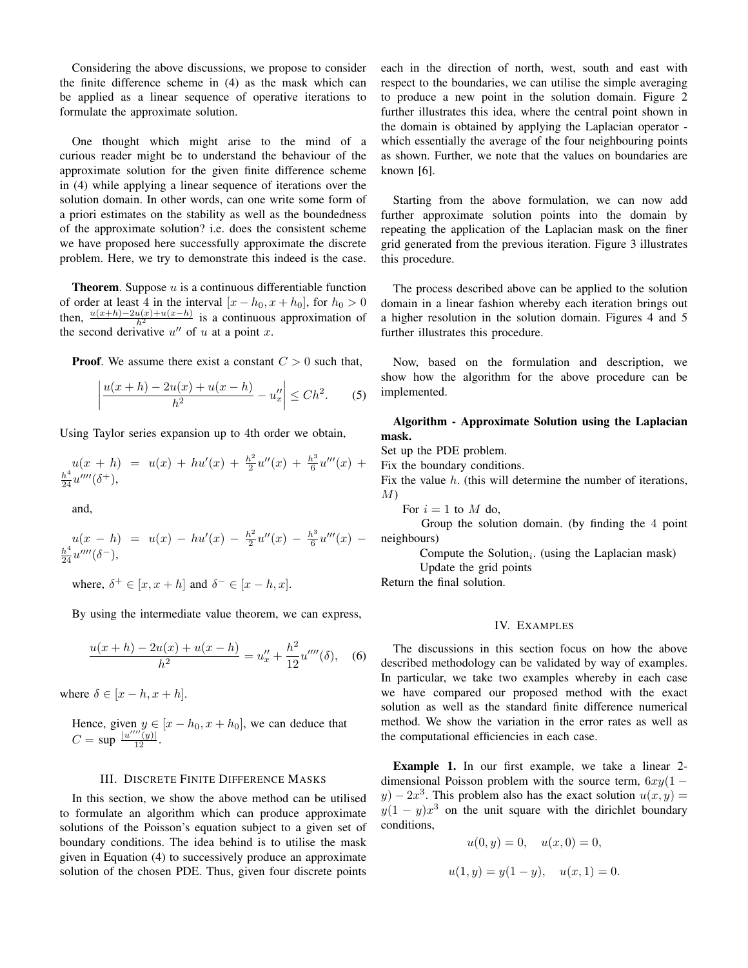Considering the above discussions, we propose to consider the finite difference scheme in (4) as the mask which can be applied as a linear sequence of operative iterations to formulate the approximate solution.

One thought which might arise to the mind of a curious reader might be to understand the behaviour of the approximate solution for the given finite difference scheme in (4) while applying a linear sequence of iterations over the solution domain. In other words, can one write some form of a priori estimates on the stability as well as the boundedness of the approximate solution? i.e. does the consistent scheme we have proposed here successfully approximate the discrete problem. Here, we try to demonstrate this indeed is the case.

**Theorem.** Suppose  $u$  is a continuous differentiable function of order at least 4 in the interval  $[x - h_0, x + h_0]$ , for  $h_0 > 0$ then,  $\frac{u(x+h)-2u(x)+u(x-h)}{h^2}$  is a continuous approximation of the second derivative  $u''$  of u at a point x.

**Proof.** We assume there exist a constant  $C > 0$  such that,

$$
\left| \frac{u(x+h) - 2u(x) + u(x-h)}{h^2} - u''_x \right| \le Ch^2.
$$
 (5)

Using Taylor series expansion up to 4th order we obtain,

$$
u(x+h) = u(x) + hu'(x) + \frac{h^2}{2}u''(x) + \frac{h^3}{6}u'''(x) + \frac{h^4}{24}u''''(\delta^+),
$$

and,

$$
u(x-h) = u(x) - hu'(x) - \frac{h^2}{2}u''(x) - \frac{h^3}{6}u'''(x) - \frac{h^4}{24}u''''(x) - \frac{h^4}{24}u'''(\delta^-),
$$

where,  $\delta^+ \in [x, x+h]$  and  $\delta^- \in [x-h, x]$ .

By using the intermediate value theorem, we can express,

$$
\frac{u(x+h) - 2u(x) + u(x-h)}{h^2} = u''_x + \frac{h^2}{12}u''''(\delta), \quad (6)
$$

where  $\delta \in [x-h, x+h]$ .

Hence, given  $y \in [x - h_0, x + h_0]$ , we can deduce that  $C = \sup \frac{u''''(y)}{12}.$ 

## III. DISCRETE FINITE DIFFERENCE MASKS

In this section, we show the above method can be utilised to formulate an algorithm which can produce approximate solutions of the Poisson's equation subject to a given set of boundary conditions. The idea behind is to utilise the mask given in Equation (4) to successively produce an approximate solution of the chosen PDE. Thus, given four discrete points

each in the direction of north, west, south and east with respect to the boundaries, we can utilise the simple averaging to produce a new point in the solution domain. Figure 2 further illustrates this idea, where the central point shown in the domain is obtained by applying the Laplacian operator which essentially the average of the four neighbouring points as shown. Further, we note that the values on boundaries are known [6].

Starting from the above formulation, we can now add further approximate solution points into the domain by repeating the application of the Laplacian mask on the finer grid generated from the previous iteration. Figure 3 illustrates this procedure.

The process described above can be applied to the solution domain in a linear fashion whereby each iteration brings out a higher resolution in the solution domain. Figures 4 and 5 further illustrates this procedure.

Now, based on the formulation and description, we show how the algorithm for the above procedure can be implemented.

# Algorithm - Approximate Solution using the Laplacian mask.

Set up the PDE problem.

Fix the boundary conditions.

Fix the value h. (this will determine the number of iterations,  $M$ 

For  $i = 1$  to M do,

Group the solution domain. (by finding the 4 point neighbours)

Compute the Solution $_i$ . (using the Laplacian mask)

Update the grid points

Return the final solution.

## IV. EXAMPLES

The discussions in this section focus on how the above described methodology can be validated by way of examples. In particular, we take two examples whereby in each case we have compared our proposed method with the exact solution as well as the standard finite difference numerical method. We show the variation in the error rates as well as the computational efficiencies in each case.

Example 1. In our first example, we take a linear 2 dimensional Poisson problem with the source term,  $6xy(1$  $y$ ) –  $2x<sup>3</sup>$ . This problem also has the exact solution  $u(x, y) =$  $y(1-y)x^3$  on the unit square with the dirichlet boundary conditions,

$$
u(0, y) = 0, \quad u(x, 0) = 0,
$$
  

$$
u(1, y) = y(1 - y), \quad u(x, 1) = 0.
$$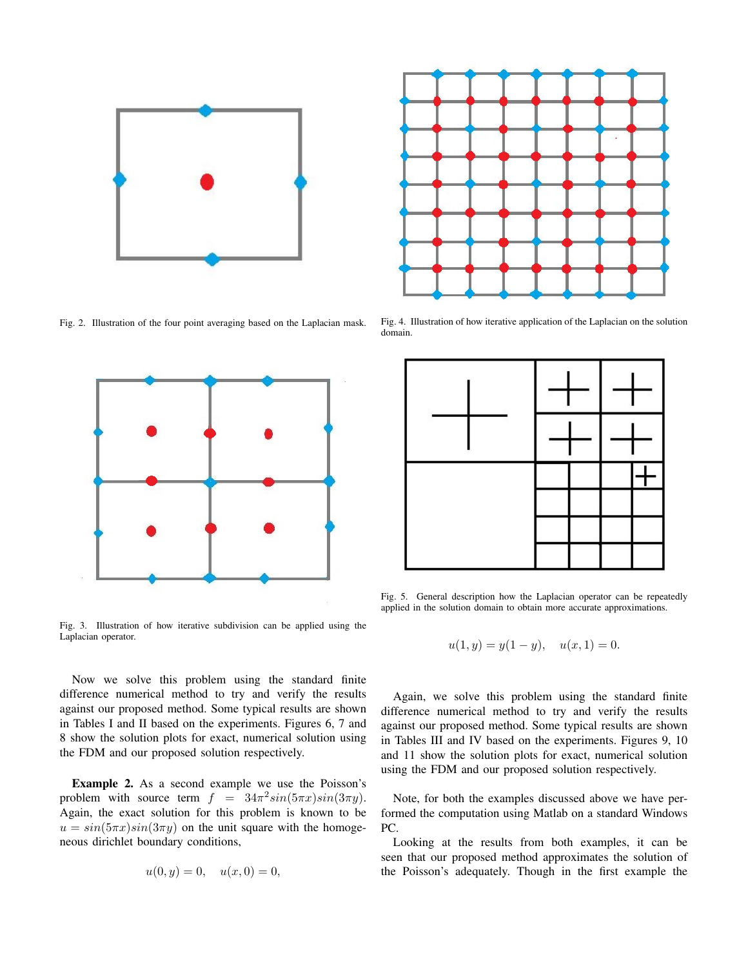

Fig. 2. Illustration of the four point averaging based on the Laplacian mask.



Fig. 3. Illustration of how iterative subdivision can be applied using the Laplacian operator.

Now we solve this problem using the standard finite difference numerical method to try and verify the results against our proposed method. Some typical results are shown in Tables I and II based on the experiments. Figures 6, 7 and 8 show the solution plots for exact, numerical solution using the FDM and our proposed solution respectively.

Example 2. As a second example we use the Poisson's problem with source term  $f = 34\pi^2 sin(5\pi x) sin(3\pi y)$ . Again, the exact solution for this problem is known to be  $u = sin(5\pi x)sin(3\pi y)$  on the unit square with the homogeneous dirichlet boundary conditions,

$$
u(0, y) = 0, \quad u(x, 0) = 0,
$$



Fig. 4. Illustration of how iterative application of the Laplacian on the solution domain.



Fig. 5. General description how the Laplacian operator can be repeatedly applied in the solution domain to obtain more accurate approximations.

$$
u(1, y) = y(1 - y), \quad u(x, 1) = 0.
$$

Again, we solve this problem using the standard finite difference numerical method to try and verify the results against our proposed method. Some typical results are shown in Tables III and IV based on the experiments. Figures 9, 10 and 11 show the solution plots for exact, numerical solution using the FDM and our proposed solution respectively.

Note, for both the examples discussed above we have performed the computation using Matlab on a standard Windows PC.

Looking at the results from both examples, it can be seen that our proposed method approximates the solution of the Poisson's adequately. Though in the first example the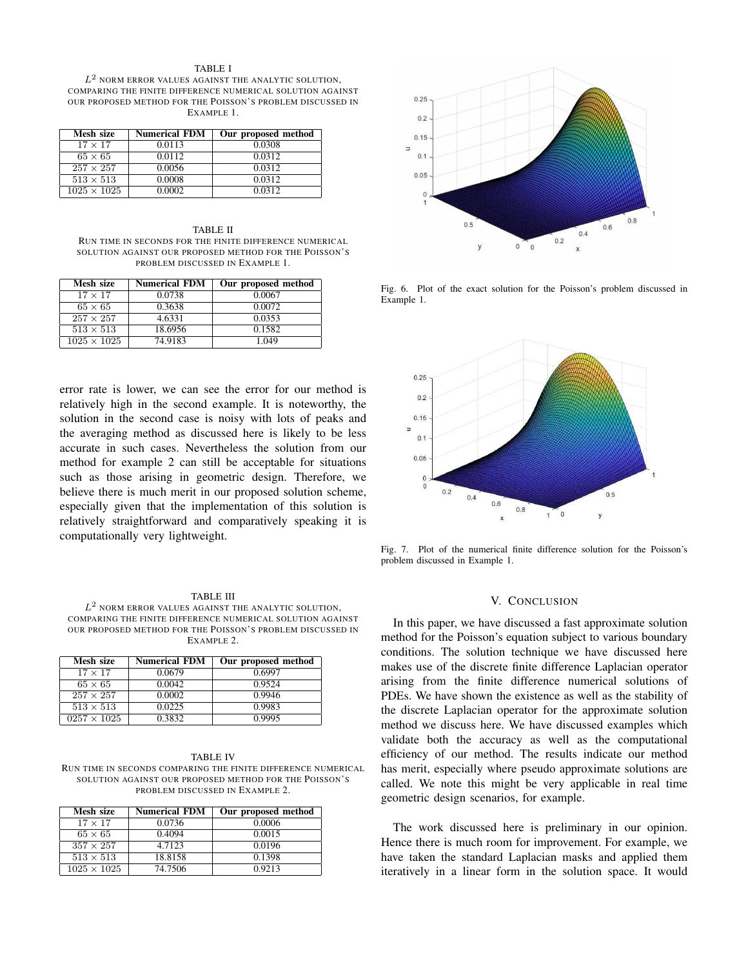#### TABLE I

 $L^2$  norm error values against the analytic solution, COMPARING THE FINITE DIFFERENCE NUMERICAL SOLUTION AGAINST OUR PROPOSED METHOD FOR THE POISSON'S PROBLEM DISCUSSED IN EXAMPLE 1.

| Mesh size          | <b>Numerical FDM</b> | Our proposed method |
|--------------------|----------------------|---------------------|
| $17 \times 17$     | 0.0113               | 0.0308              |
| $65 \times 65$     | 0.0112               | 0.0312              |
| $257 \times 257$   | 0.0056               | 0.0312              |
| $513 \times 513$   | 0.0008               | 0.0312              |
| $1025 \times 1025$ | 0.0002               | 0.0312              |

TABLE II RUN TIME IN SECONDS FOR THE FINITE DIFFERENCE NUMERICAL SOLUTION AGAINST OUR PROPOSED METHOD FOR THE POISSON'S PROBLEM DISCUSSED IN EXAMPLE 1.

| Mesh size          | <b>Numerical FDM</b> | Our proposed method |
|--------------------|----------------------|---------------------|
| $17 \times 17$     | 0.0738               | 0.0067              |
| $65 \times 65$     | 0.3638               | 0.0072              |
| $257 \times 257$   | 4.6331               | 0.0353              |
| $513 \times 513$   | 18.6956              | 0.1582              |
| $1025 \times 1025$ | 74.9183              | 1.049               |

error rate is lower, we can see the error for our method is relatively high in the second example. It is noteworthy, the solution in the second case is noisy with lots of peaks and the averaging method as discussed here is likely to be less accurate in such cases. Nevertheless the solution from our method for example 2 can still be acceptable for situations such as those arising in geometric design. Therefore, we believe there is much merit in our proposed solution scheme, especially given that the implementation of this solution is relatively straightforward and comparatively speaking it is computationally very lightweight.

#### TABLE III

 $L^2$  NORM ERROR VALUES AGAINST THE ANALYTIC SOLUTION, COMPARING THE FINITE DIFFERENCE NUMERICAL SOLUTION AGAINST OUR PROPOSED METHOD FOR THE POISSON'S PROBLEM DISCUSSED IN EXAMPLE 2.

| Mesh size          | <b>Numerical FDM</b> | Our proposed method |
|--------------------|----------------------|---------------------|
| $17 \times 17$     | 0.0679               | 0.6997              |
| $65 \times 65$     | 0.0042               | 0.9524              |
| $257 \times 257$   | 0.0002               | 0.9946              |
| $513 \times 513$   | 0.0225               | 0.9983              |
| $0257 \times 1025$ | 0.3832               | 0.9995              |

| TABLE IV                                                      |  |  |  |  |
|---------------------------------------------------------------|--|--|--|--|
| RUN TIME IN SECONDS COMPARING THE FINITE DIFFERENCE NUMERICAL |  |  |  |  |
| SOLUTION AGAINST OUR PROPOSED METHOD FOR THE POISSON'S        |  |  |  |  |
| PROBLEM DISCUSSED IN EXAMPLE 2.                               |  |  |  |  |

| Mesh size          | <b>Numerical FDM</b> | Our proposed method |
|--------------------|----------------------|---------------------|
| $17 \times 17$     | 0.0736               | 0.0006              |
| $65 \times 65$     | 0.4094               | 0.0015              |
| $357 \times 257$   | 4.7123               | 0.0196              |
| $513 \times 513$   | 18.8158              | 0.1398              |
| $1025 \times 1025$ | 74.7506              | 0.9213              |



Fig. 6. Plot of the exact solution for the Poisson's problem discussed in Example 1.



Fig. 7. Plot of the numerical finite difference solution for the Poisson's problem discussed in Example 1.

## V. CONCLUSION

In this paper, we have discussed a fast approximate solution method for the Poisson's equation subject to various boundary conditions. The solution technique we have discussed here makes use of the discrete finite difference Laplacian operator arising from the finite difference numerical solutions of PDEs. We have shown the existence as well as the stability of the discrete Laplacian operator for the approximate solution method we discuss here. We have discussed examples which validate both the accuracy as well as the computational efficiency of our method. The results indicate our method has merit, especially where pseudo approximate solutions are called. We note this might be very applicable in real time geometric design scenarios, for example.

The work discussed here is preliminary in our opinion. Hence there is much room for improvement. For example, we have taken the standard Laplacian masks and applied them iteratively in a linear form in the solution space. It would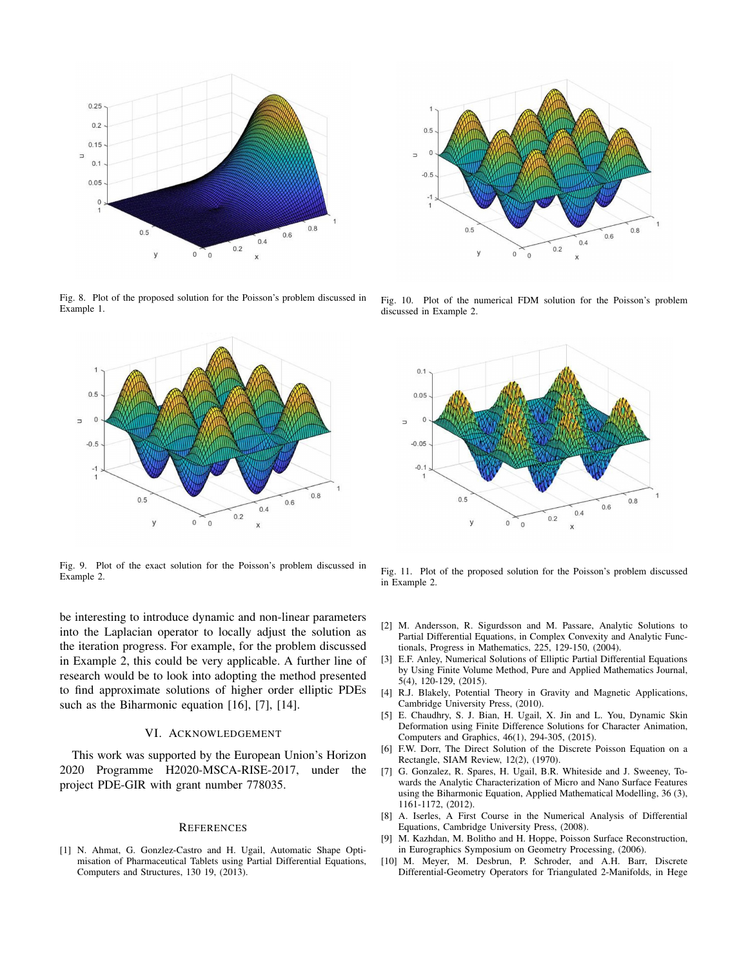

Fig. 8. Plot of the proposed solution for the Poisson's problem discussed in Example 1.



Fig. 9. Plot of the exact solution for the Poisson's problem discussed in Example 2.

be interesting to introduce dynamic and non-linear parameters into the Laplacian operator to locally adjust the solution as the iteration progress. For example, for the problem discussed in Example 2, this could be very applicable. A further line of research would be to look into adopting the method presented to find approximate solutions of higher order elliptic PDEs such as the Biharmonic equation [16], [7], [14].

## VI. ACKNOWLEDGEMENT

This work was supported by the European Union's Horizon 2020 Programme H2020-MSCA-RISE-2017, under the project PDE-GIR with grant number 778035.

#### **REFERENCES**

[1] N. Ahmat, G. Gonzlez-Castro and H. Ugail, Automatic Shape Optimisation of Pharmaceutical Tablets using Partial Differential Equations, Computers and Structures, 130 19, (2013).



Fig. 10. Plot of the numerical FDM solution for the Poisson's problem discussed in Example 2.



Fig. 11. Plot of the proposed solution for the Poisson's problem discussed in Example 2.

- [2] M. Andersson, R. Sigurdsson and M. Passare, Analytic Solutions to Partial Differential Equations, in Complex Convexity and Analytic Functionals, Progress in Mathematics, 225, 129-150, (2004).
- [3] E.F. Anley, Numerical Solutions of Elliptic Partial Differential Equations by Using Finite Volume Method, Pure and Applied Mathematics Journal, 5(4), 120-129, (2015).
- [4] R.J. Blakely, Potential Theory in Gravity and Magnetic Applications, Cambridge University Press, (2010).
- [5] E. Chaudhry, S. J. Bian, H. Ugail, X. Jin and L. You, Dynamic Skin Deformation using Finite Difference Solutions for Character Animation, Computers and Graphics, 46(1), 294-305, (2015).
- [6] F.W. Dorr, The Direct Solution of the Discrete Poisson Equation on a Rectangle, SIAM Review, 12(2), (1970).
- [7] G. Gonzalez, R. Spares, H. Ugail, B.R. Whiteside and J. Sweeney, Towards the Analytic Characterization of Micro and Nano Surface Features using the Biharmonic Equation, Applied Mathematical Modelling, 36 (3), 1161-1172, (2012).
- [8] A. Iserles, A First Course in the Numerical Analysis of Differential Equations, Cambridge University Press, (2008).
- [9] M. Kazhdan, M. Bolitho and H. Hoppe, Poisson Surface Reconstruction, in Eurographics Symposium on Geometry Processing, (2006).
- [10] M. Meyer, M. Desbrun, P. Schroder, and A.H. Barr, Discrete Differential-Geometry Operators for Triangulated 2-Manifolds, in Hege